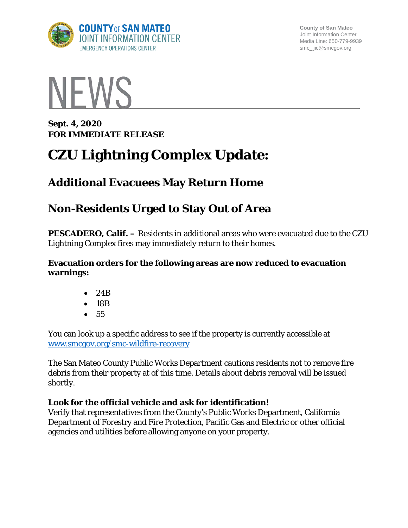

**County of San Mateo** Joint Information Center Media Line: 650-779-9939 smc\_ jic@smcgov.org



**Sept. 4, 2020 FOR IMMEDIATE RELEASE** 

# **CZU Lightning Complex Update:**

### **Additional Evacuees May Return Home**

## **Non-Residents Urged to Stay Out of Area**

**PESCADERO, Calif. –** Residents in additional areas who were evacuated due to the CZU Lightning Complex fires may immediately return to their homes.

#### **Evacuation orders for the following areas are now reduced to evacuation warnings:**

- 24B
- 18B
- 55

You can look up a specific address to see if the property is currently accessible at [www.smcgov.org/smc-wildfire-recovery](http://www.smcgov.org/smc-wildfire-recovery)

The San Mateo County Public Works Department cautions residents not to remove fire debris from their property at of this time. Details about debris removal will be issued shortly.

### **Look for the official vehicle and ask for identification!**

Verify that representatives from the County's Public Works Department, California Department of Forestry and Fire Protection, Pacific Gas and Electric or other official agencies and utilities before allowing anyone on your property.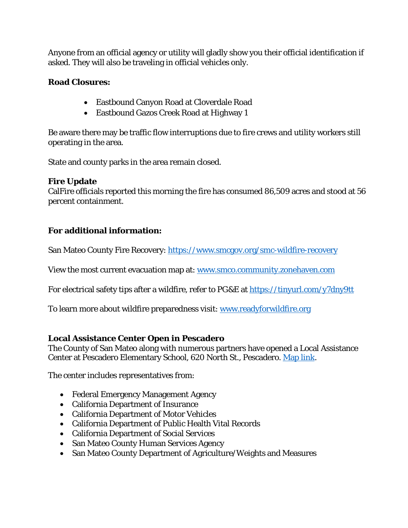Anyone from an official agency or utility will gladly show you their official identification if asked. They will also be traveling in official vehicles only.

#### **Road Closures:**

- Eastbound Canyon Road at Cloverdale Road
- Eastbound Gazos Creek Road at Highway 1

Be aware there may be traffic flow interruptions due to fire crews and utility workers still operating in the area.

State and county parks in the area remain closed.

#### **Fire Update**

CalFire officials reported this morning the fire has consumed 86,509 acres and stood at 56 percent containment.

#### **For additional information:**

San Mateo County Fire Recovery:<https://www.smcgov.org/smc-wildfire-recovery>

View the most current evacuation map at: [www.smco.community.zonehaven.com](http://www.smco.community.zonehaven.com/)

For electrical safety tips after a wildfire, refer to PG&E at<https://tinyurl.com/y7dny9tt>

To learn more about wildfire preparedness visit: [www.readyforwildfire.org](http://www.readyforwildfire.org/)

#### **Local Assistance Center Open in Pescadero**

The County of San Mateo along with numerous partners have opened a Local Assistance Center at Pescadero Elementary School, 620 North St., Pescadero. [Map link.](https://goo.gl/maps/TSZwZVcwpuq6uyAF8)

The center includes representatives from:

- Federal Emergency Management Agency
- California Department of Insurance
- California Department of Motor Vehicles
- California Department of Public Health Vital Records
- California Department of Social Services
- San Mateo County Human Services Agency
- San Mateo County Department of Agriculture/Weights and Measures